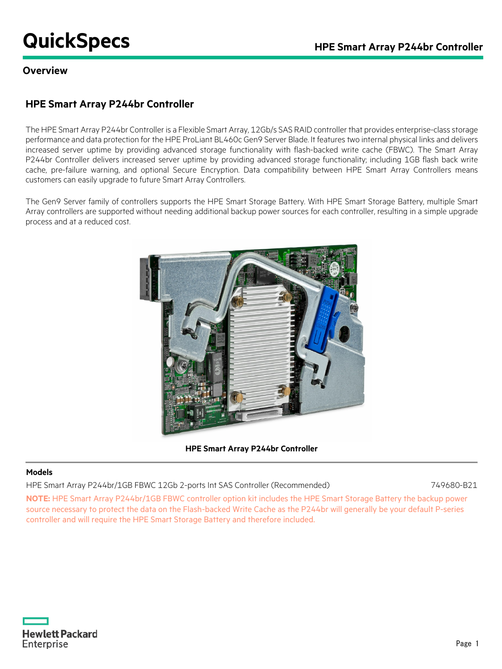# **QuickSpecs Calculate Array P244br Controller**

#### **Overview**

## **HPE Smart Array P244br Controller**

The HPE Smart Array P244br Controller is a Flexible Smart Array, 12Gb/s SAS RAID controller that provides enterprise-class storage performance and data protection for the HPE ProLiant BL460c Gen9 Server Blade. It features two internal physical links and delivers increased server uptime by providing advanced storage functionality with flash-backed write cache (FBWC). The Smart Array P244br Controller delivers increased server uptime by providing advanced storage functionality; including 1GB flash back write cache, pre-failure warning, and optional Secure Encryption. Data compatibility between HPE Smart Array Controllers means customers can easily upgrade to future Smart Array Controllers.

The Gen9 Server family of controllers supports the HPE Smart Storage Battery. With HPE Smart Storage Battery, multiple Smart Array controllers are supported without needing additional backup power sources for each controller, resulting in a simple upgrade process and at a reduced cost.



**HPE Smart Array P244br Controller**

#### **Models**

HPE Smart Array P244br/1GB FBWC 12Gb 2-ports Int SAS Controller (Recommended) 749680-B21

**NOTE:** HPE Smart Array P244br/1GB FBWC controller option kit includes the HPE Smart Storage Battery the backup power source necessary to protect the data on the Flash-backed Write Cache as the P244br will generally be your default P-series controller and will require the HPE Smart Storage Battery and therefore included.

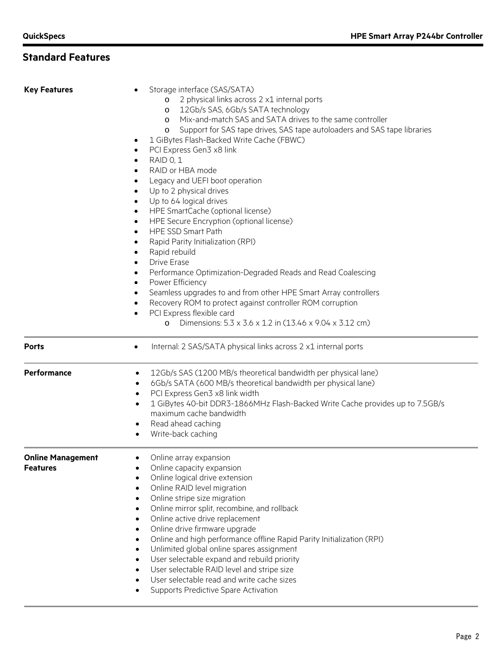# **Standard Features**

| <b>Key Features</b>                         | Storage interface (SAS/SATA)<br>2 physical links across 2 x1 internal ports<br>$\circ$<br>12Gb/s SAS, 6Gb/s SATA technology<br>$\circ$<br>Mix-and-match SAS and SATA drives to the same controller<br>$\circ$<br>Support for SAS tape drives, SAS tape autoloaders and SAS tape libraries<br>$\circ$<br>1 GiBytes Flash-Backed Write Cache (FBWC)<br>$\bullet$<br>PCI Express Gen3 x8 link<br>$\bullet$<br>RAID 0, 1<br>$\bullet$<br>RAID or HBA mode<br>$\bullet$<br>Legacy and UEFI boot operation<br>$\bullet$<br>Up to 2 physical drives<br>$\bullet$<br>Up to 64 logical drives<br>$\bullet$<br>HPE SmartCache (optional license)<br>$\bullet$<br>HPE Secure Encryption (optional license)<br>$\bullet$<br>HPE SSD Smart Path<br>$\bullet$<br>Rapid Parity Initialization (RPI)<br>$\bullet$<br>Rapid rebuild<br>$\bullet$<br><b>Drive Erase</b><br>$\bullet$<br>Performance Optimization-Degraded Reads and Read Coalescing<br>$\bullet$<br>Power Efficiency<br>$\bullet$<br>Seamless upgrades to and from other HPE Smart Array controllers<br>$\bullet$<br>Recovery ROM to protect against controller ROM corruption<br>$\bullet$<br>PCI Express flexible card<br>$\bullet$<br>Dimensions: 5.3 x 3.6 x 1.2 in (13.46 x 9.04 x 3.12 cm)<br>$\circ$ |
|---------------------------------------------|-----------------------------------------------------------------------------------------------------------------------------------------------------------------------------------------------------------------------------------------------------------------------------------------------------------------------------------------------------------------------------------------------------------------------------------------------------------------------------------------------------------------------------------------------------------------------------------------------------------------------------------------------------------------------------------------------------------------------------------------------------------------------------------------------------------------------------------------------------------------------------------------------------------------------------------------------------------------------------------------------------------------------------------------------------------------------------------------------------------------------------------------------------------------------------------------------------------------------------------------------------------|
| <b>Ports</b>                                | Internal: 2 SAS/SATA physical links across 2 x1 internal ports<br>$\bullet$                                                                                                                                                                                                                                                                                                                                                                                                                                                                                                                                                                                                                                                                                                                                                                                                                                                                                                                                                                                                                                                                                                                                                                               |
| Performance                                 | 12Gb/s SAS (1200 MB/s theoretical bandwidth per physical lane)<br>٠<br>6Gb/s SATA (600 MB/s theoretical bandwidth per physical lane)<br>$\bullet$<br>PCI Express Gen3 x8 link width<br>$\bullet$<br>1 GiBytes 40-bit DDR3-1866MHz Flash-Backed Write Cache provides up to 7.5GB/s<br>$\bullet$<br>maximum cache bandwidth<br>Read ahead caching<br>٠<br>Write-back caching<br>٠                                                                                                                                                                                                                                                                                                                                                                                                                                                                                                                                                                                                                                                                                                                                                                                                                                                                           |
| <b>Online Management</b><br><b>Features</b> | Online array expansion<br>Online capacity expansion<br>Online logical drive extension<br>٠<br>Online RAID level migration<br>$\bullet$<br>Online stripe size migration<br>$\bullet$<br>Online mirror split, recombine, and rollback<br>$\bullet$<br>Online active drive replacement<br>$\bullet$<br>Online drive firmware upgrade<br>$\bullet$<br>Online and high performance offline Rapid Parity Initialization (RPI)<br>$\bullet$<br>Unlimited global online spares assignment<br>$\bullet$<br>User selectable expand and rebuild priority<br>$\bullet$<br>User selectable RAID level and stripe size<br>$\bullet$<br>User selectable read and write cache sizes<br>$\bullet$<br>Supports Predictive Spare Activation<br>$\bullet$                                                                                                                                                                                                                                                                                                                                                                                                                                                                                                                     |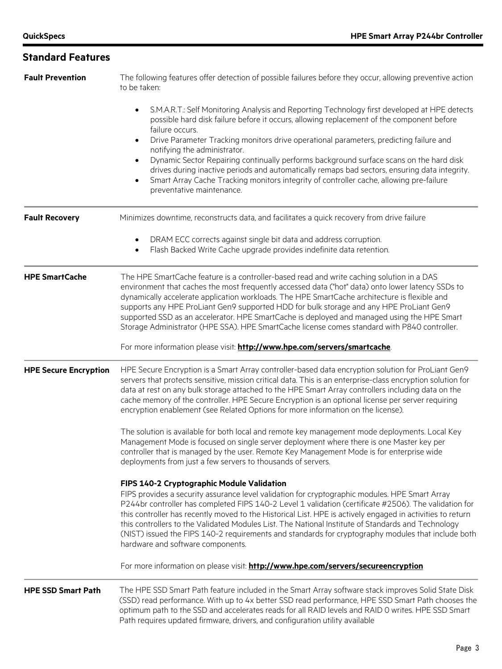**Standard Features**

# **Fault Prevention** The following features offer detection of possible failures before they occur, allowing preventive action to be taken: • S.M.A.R.T.: Self Monitoring Analysis and Reporting Technology first developed at HPE detects possible hard disk failure before it occurs, allowing replacement of the component before failure occurs. • Drive Parameter Tracking monitors drive operational parameters, predicting failure and notifying the administrator. • Dynamic Sector Repairing continually performs background surface scans on the hard disk drives during inactive periods and automatically remaps bad sectors, ensuring data integrity. • Smart Array Cache Tracking monitors integrity of controller cache, allowing pre-failure preventative maintenance. **Fault Recovery** Minimizes downtime, reconstructs data, and facilitates a quick recovery from drive failure • DRAM ECC corrects against single bit data and address corruption. • Flash Backed Write Cache upgrade provides indefinite data retention. **HPE SmartCache** The HPE SmartCache feature is a controller-based read and write caching solution in a DAS environment that caches the most frequently accessed data ("hot" data) onto lower latency SSDs to dynamically accelerate application workloads. The HPE SmartCache architecture is flexible and supports any HPE ProLiant Gen9 supported HDD for bulk storage and any HPE ProLiant Gen9 supported SSD as an accelerator. HPE SmartCache is deployed and managed using the HPE Smart Storage Administrator (HPE SSA). HPE SmartCache license comes standard with P840 controller. For more information please visit: **<http://www.hpe.com/servers/smartcache>**. **HPE Secure Encryption** HPE Secure Encryption is a Smart Array controller-based data encryption solution for ProLiant Gen9 servers that protects sensitive, mission critical data. This is an enterprise-class encryption solution for data at rest on any bulk storage attached to the HPE Smart Array controllers including data on the cache memory of the controller. HPE Secure Encryption is an optional license per server requiring encryption enablement (see Related Options for more information on the license). The solution is available for both local and remote key management mode deployments. Local Key Management Mode is focused on single server deployment where there is one Master key per controller that is managed by the user. Remote Key Management Mode is for enterprise wide deployments from just a few servers to thousands of servers. **FIPS 140-2 Cryptographic Module Validation**  FIPS provides a security assurance level validation for cryptographic modules. HPE Smart Array P244br controller has completed FIPS 140-2 Level 1 validation (certificate #2506). The validation for this controller has recently moved to the Historical List. HPE is actively engaged in activities to return this controllers to the Validated Modules List. The National Institute of Standards and Technology (NIST) issued the FIPS 140-2 requirements and standards for cryptography modules that include both hardware and software components. For more information on please visit: **<http://www.hpe.com/servers/secureencryption> HPE SSD Smart Path** The HPE SSD Smart Path feature included in the Smart Array software stack improves Solid State Disk (SSD) read performance. With up to 4x better SSD read performance, HPE SSD Smart Path chooses the optimum path to the SSD and accelerates reads for all RAID levels and RAID 0 writes. HPE SSD Smart Path requires updated firmware, drivers, and configuration utility available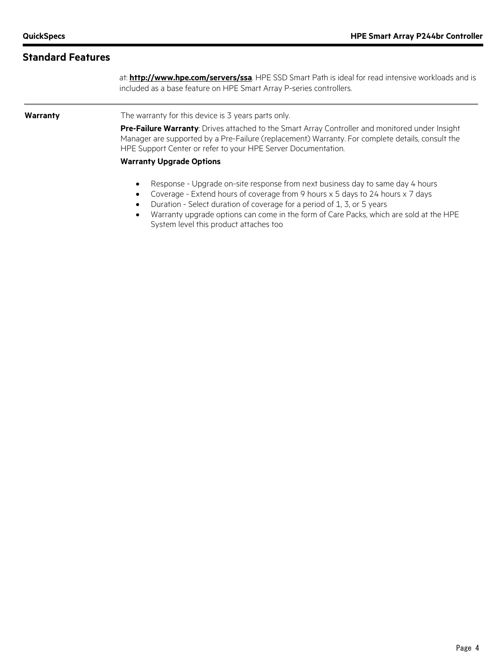### **Standard Features**

at: **<http://www.hpe.com/servers/ssa>**. HPE SSD Smart Path is ideal for read intensive workloads and is included as a base feature on HPE Smart Array P-series controllers.

**Warranty** The warranty for this device is 3 years parts only.

**Pre-Failure Warranty**: Drives attached to the Smart Array Controller and monitored under Insight Manager are supported by a Pre-Failure (replacement) Warranty. For complete details, consult the HPE Support Center or refer to your HPE Server Documentation.

#### **Warranty Upgrade Options**

- Response Upgrade on-site response from next business day to same day 4 hours
- Coverage Extend hours of coverage from 9 hours x 5 days to 24 hours x 7 days
- Duration Select duration of coverage for a period of 1, 3, or 5 years
- Warranty upgrade options can come in the form of Care Packs, which are sold at the HPE System level this product attaches too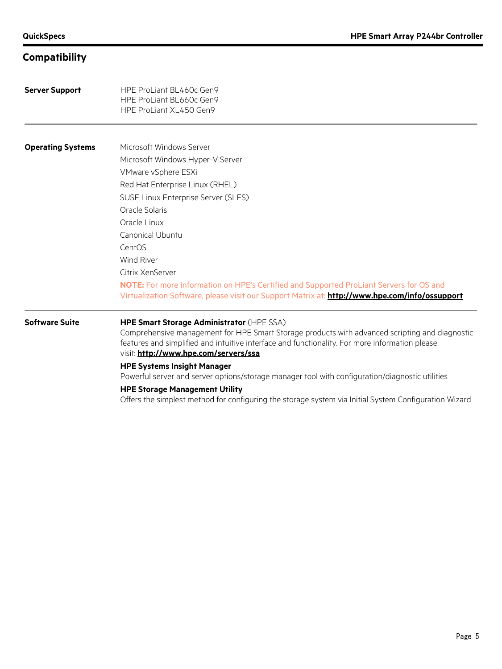# **Compatibility**

| <b>Server Support</b>    | HPE ProLiant BL460c Gen9<br>HPE ProLiant BL660c Gen9<br>HPE ProLiant XL450 Gen9                                                                                                           |  |  |  |
|--------------------------|-------------------------------------------------------------------------------------------------------------------------------------------------------------------------------------------|--|--|--|
|                          |                                                                                                                                                                                           |  |  |  |
| <b>Operating Systems</b> | Microsoft Windows Server                                                                                                                                                                  |  |  |  |
|                          | Microsoft Windows Hyper-V Server                                                                                                                                                          |  |  |  |
|                          | VMware vSphere ESXi                                                                                                                                                                       |  |  |  |
|                          | Red Hat Enterprise Linux (RHEL)                                                                                                                                                           |  |  |  |
|                          | SUSE Linux Enterprise Server (SLES)                                                                                                                                                       |  |  |  |
|                          | Oracle Solaris                                                                                                                                                                            |  |  |  |
|                          | Oracle Linux                                                                                                                                                                              |  |  |  |
|                          | Canonical Ubuntu                                                                                                                                                                          |  |  |  |
|                          | CentOS                                                                                                                                                                                    |  |  |  |
|                          | <b>Wind River</b>                                                                                                                                                                         |  |  |  |
|                          | Citrix XenServer                                                                                                                                                                          |  |  |  |
|                          | NOTE: For more information on HPE's Certified and Supported ProLiant Servers for OS and<br>Virtualization Software, please visit our Support Matrix at: http://www.hpe.com/info/ossupport |  |  |  |
| <b>Software Suite</b>    | HPE Smart Storage Administrator (HPE SSA)<br>Comprehensive management for HPE Smart Storage products with advanced scripting and diagnostic                                               |  |  |  |
|                          | features and simplified and intuitive interface and functionality. For more information please<br>visit: http://www.hpe.com/servers/ssa                                                   |  |  |  |
|                          | <b>HPE Systems Insight Manager</b><br>Powerful server and server options/storage manager tool with configuration/diagnostic utilities                                                     |  |  |  |
|                          | <b>HPE Storage Management Utility</b><br>Offers the simplest method for configuring the storage system via Initial System Configuration Wizard                                            |  |  |  |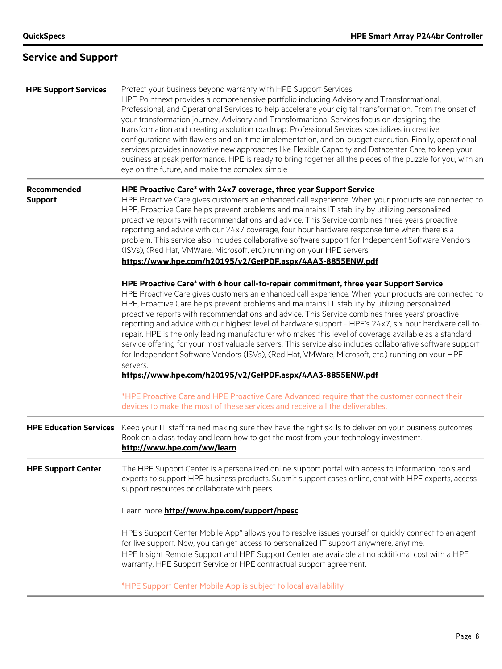# **Service and Support**

| <b>HPE Support Services</b>   | Protect your business beyond warranty with HPE Support Services<br>HPE Pointnext provides a comprehensive portfolio including Advisory and Transformational,<br>Professional, and Operational Services to help accelerate your digital transformation. From the onset of<br>your transformation journey, Advisory and Transformational Services focus on designing the<br>transformation and creating a solution roadmap. Professional Services specializes in creative<br>configurations with flawless and on-time implementation, and on-budget execution. Finally, operational<br>services provides innovative new approaches like Flexible Capacity and Datacenter Care, to keep your<br>business at peak performance. HPE is ready to bring together all the pieces of the puzzle for you, with an<br>eye on the future, and make the complex simple                                                          |  |  |  |
|-------------------------------|--------------------------------------------------------------------------------------------------------------------------------------------------------------------------------------------------------------------------------------------------------------------------------------------------------------------------------------------------------------------------------------------------------------------------------------------------------------------------------------------------------------------------------------------------------------------------------------------------------------------------------------------------------------------------------------------------------------------------------------------------------------------------------------------------------------------------------------------------------------------------------------------------------------------|--|--|--|
| Recommended<br><b>Support</b> | HPE Proactive Care* with 24x7 coverage, three year Support Service<br>HPE Proactive Care gives customers an enhanced call experience. When your products are connected to<br>HPE, Proactive Care helps prevent problems and maintains IT stability by utilizing personalized<br>proactive reports with recommendations and advice. This Service combines three years proactive<br>reporting and advice with our 24x7 coverage, four hour hardware response time when there is a<br>problem. This service also includes collaborative software support for Independent Software Vendors<br>(ISVs), (Red Hat, VMWare, Microsoft, etc.) running on your HPE servers.<br>https://www.hpe.com/h20195/v2/GetPDF.aspx/4AA3-8855ENW.pdf                                                                                                                                                                                    |  |  |  |
|                               | HPE Proactive Care* with 6 hour call-to-repair commitment, three year Support Service<br>HPE Proactive Care gives customers an enhanced call experience. When your products are connected to<br>HPE, Proactive Care helps prevent problems and maintains IT stability by utilizing personalized<br>proactive reports with recommendations and advice. This Service combines three years' proactive<br>reporting and advice with our highest level of hardware support - HPE's 24x7, six hour hardware call-to-<br>repair. HPE is the only leading manufacturer who makes this level of coverage available as a standard<br>service offering for your most valuable servers. This service also includes collaborative software support<br>for Independent Software Vendors (ISVs), (Red Hat, VMWare, Microsoft, etc.) running on your HPE<br>servers.<br>https://www.hpe.com/h20195/v2/GetPDF.aspx/4AA3-8855ENW.pdf |  |  |  |
|                               | *HPE Proactive Care and HPE Proactive Care Advanced require that the customer connect their<br>devices to make the most of these services and receive all the deliverables.                                                                                                                                                                                                                                                                                                                                                                                                                                                                                                                                                                                                                                                                                                                                        |  |  |  |
| <b>HPE Education Services</b> | Keep your IT staff trained making sure they have the right skills to deliver on your business outcomes.<br>Book on a class today and learn how to get the most from your technology investment.<br>http://www.hpe.com/ww/learn                                                                                                                                                                                                                                                                                                                                                                                                                                                                                                                                                                                                                                                                                     |  |  |  |
| <b>HPE Support Center</b>     | The HPE Support Center is a personalized online support portal with access to information, tools and<br>experts to support HPE business products. Submit support cases online, chat with HPE experts, access<br>support resources or collaborate with peers.                                                                                                                                                                                                                                                                                                                                                                                                                                                                                                                                                                                                                                                       |  |  |  |
|                               | Learn more http://www.hpe.com/support/hpesc                                                                                                                                                                                                                                                                                                                                                                                                                                                                                                                                                                                                                                                                                                                                                                                                                                                                        |  |  |  |
|                               | HPE's Support Center Mobile App* allows you to resolve issues yourself or quickly connect to an agent<br>for live support. Now, you can get access to personalized IT support anywhere, anytime.<br>HPE Insight Remote Support and HPE Support Center are available at no additional cost with a HPE<br>warranty, HPE Support Service or HPE contractual support agreement.                                                                                                                                                                                                                                                                                                                                                                                                                                                                                                                                        |  |  |  |
|                               | *HPE Support Center Mobile App is subject to local availability                                                                                                                                                                                                                                                                                                                                                                                                                                                                                                                                                                                                                                                                                                                                                                                                                                                    |  |  |  |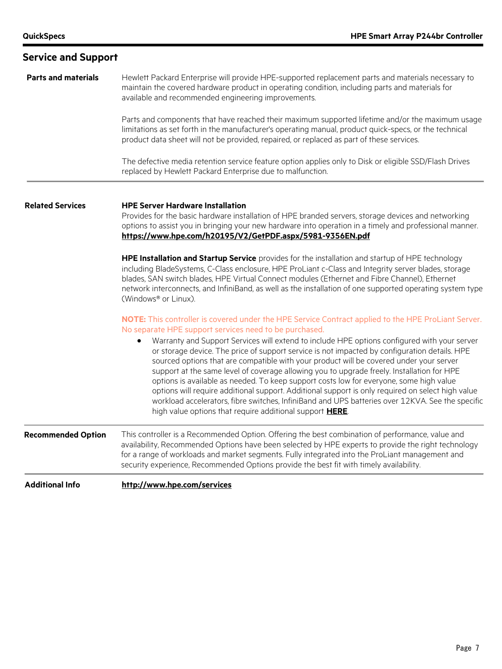| <b>Service and Support</b> |                                                                                                                                                                                                                                                                                                                                                                                                                                                                                                                                                                                                                                                                                                                                                                                                                                                                                                                         |  |  |  |  |
|----------------------------|-------------------------------------------------------------------------------------------------------------------------------------------------------------------------------------------------------------------------------------------------------------------------------------------------------------------------------------------------------------------------------------------------------------------------------------------------------------------------------------------------------------------------------------------------------------------------------------------------------------------------------------------------------------------------------------------------------------------------------------------------------------------------------------------------------------------------------------------------------------------------------------------------------------------------|--|--|--|--|
| <b>Parts and materials</b> | Hewlett Packard Enterprise will provide HPE-supported replacement parts and materials necessary to<br>maintain the covered hardware product in operating condition, including parts and materials for<br>available and recommended engineering improvements.                                                                                                                                                                                                                                                                                                                                                                                                                                                                                                                                                                                                                                                            |  |  |  |  |
|                            | Parts and components that have reached their maximum supported lifetime and/or the maximum usage<br>limitations as set forth in the manufacturer's operating manual, product quick-specs, or the technical<br>product data sheet will not be provided, repaired, or replaced as part of these services.                                                                                                                                                                                                                                                                                                                                                                                                                                                                                                                                                                                                                 |  |  |  |  |
|                            | The defective media retention service feature option applies only to Disk or eligible SSD/Flash Drives<br>replaced by Hewlett Packard Enterprise due to malfunction.                                                                                                                                                                                                                                                                                                                                                                                                                                                                                                                                                                                                                                                                                                                                                    |  |  |  |  |
| <b>Related Services</b>    | <b>HPE Server Hardware Installation</b><br>Provides for the basic hardware installation of HPE branded servers, storage devices and networking<br>options to assist you in bringing your new hardware into operation in a timely and professional manner.<br>https://www.hpe.com/h20195/V2/GetPDF.aspx/5981-9356EN.pdf                                                                                                                                                                                                                                                                                                                                                                                                                                                                                                                                                                                                  |  |  |  |  |
|                            | HPE Installation and Startup Service provides for the installation and startup of HPE technology<br>including BladeSystems, C-Class enclosure, HPE ProLiant c-Class and Integrity server blades, storage<br>blades, SAN switch blades, HPE Virtual Connect modules (Ethernet and Fibre Channel), Ethernet<br>network interconnects, and InfiniBand, as well as the installation of one supported operating system type<br>(Windows® or Linux).                                                                                                                                                                                                                                                                                                                                                                                                                                                                          |  |  |  |  |
|                            | NOTE: This controller is covered under the HPE Service Contract applied to the HPE ProLiant Server.<br>No separate HPE support services need to be purchased.<br>Warranty and Support Services will extend to include HPE options configured with your server<br>or storage device. The price of support service is not impacted by configuration details. HPE<br>sourced options that are compatible with your product will be covered under your server<br>support at the same level of coverage allowing you to upgrade freely. Installation for HPE<br>options is available as needed. To keep support costs low for everyone, some high value<br>options will require additional support. Additional support is only required on select high value<br>workload accelerators, fibre switches, InfiniBand and UPS batteries over 12KVA. See the specific<br>high value options that require additional support HERE. |  |  |  |  |
| <b>Recommended Option</b>  | This controller is a Recommended Option. Offering the best combination of performance, value and<br>availability, Recommended Options have been selected by HPE experts to provide the right technology<br>for a range of workloads and market segments. Fully integrated into the ProLiant management and<br>security experience, Recommended Options provide the best fit with timely availability.                                                                                                                                                                                                                                                                                                                                                                                                                                                                                                                   |  |  |  |  |
| <b>Additional Info</b>     | http://www.hpe.com/services                                                                                                                                                                                                                                                                                                                                                                                                                                                                                                                                                                                                                                                                                                                                                                                                                                                                                             |  |  |  |  |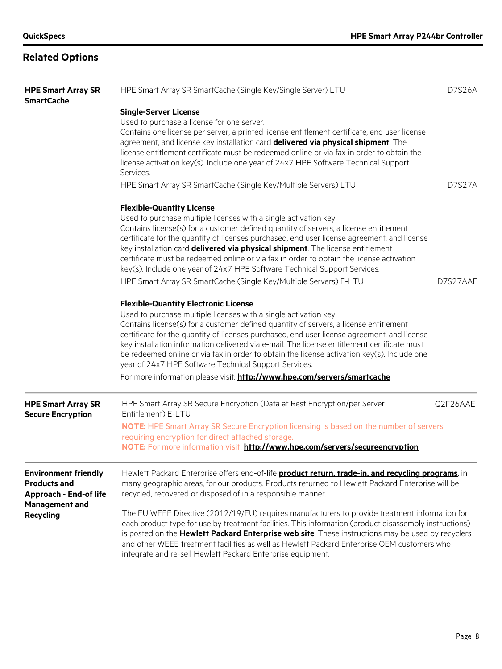# **Related Options**

| <b>HPE Smart Array SR</b><br><b>SmartCache</b>                                                                            | HPE Smart Array SR SmartCache (Single Key/Single Server) LTU                                                                                                                                                                                                                                                                                                                                                                                                                                                                                                                                                                               |               |
|---------------------------------------------------------------------------------------------------------------------------|--------------------------------------------------------------------------------------------------------------------------------------------------------------------------------------------------------------------------------------------------------------------------------------------------------------------------------------------------------------------------------------------------------------------------------------------------------------------------------------------------------------------------------------------------------------------------------------------------------------------------------------------|---------------|
|                                                                                                                           | <b>Single-Server License</b>                                                                                                                                                                                                                                                                                                                                                                                                                                                                                                                                                                                                               |               |
|                                                                                                                           | Used to purchase a license for one server.<br>Contains one license per server, a printed license entitlement certificate, end user license<br>agreement, and license key installation card delivered via physical shipment. The<br>license entitlement certificate must be redeemed online or via fax in order to obtain the<br>license activation key(s). Include one year of 24x7 HPE Software Technical Support<br>Services.                                                                                                                                                                                                            |               |
|                                                                                                                           | HPE Smart Array SR SmartCache (Single Key/Multiple Servers) LTU                                                                                                                                                                                                                                                                                                                                                                                                                                                                                                                                                                            | <b>D7S27A</b> |
|                                                                                                                           | <b>Flexible-Quantity License</b><br>Used to purchase multiple licenses with a single activation key.<br>Contains license(s) for a customer defined quantity of servers, a license entitlement<br>certificate for the quantity of licenses purchased, end user license agreement, and license<br>key installation card <b>delivered via physical shipment</b> . The license entitlement<br>certificate must be redeemed online or via fax in order to obtain the license activation<br>key(s). Include one year of 24x7 HPE Software Technical Support Services.                                                                            |               |
|                                                                                                                           | HPE Smart Array SR SmartCache (Single Key/Multiple Servers) E-LTU                                                                                                                                                                                                                                                                                                                                                                                                                                                                                                                                                                          | D7S27AAE      |
|                                                                                                                           | <b>Flexible-Quantity Electronic License</b><br>Used to purchase multiple licenses with a single activation key.<br>Contains license(s) for a customer defined quantity of servers, a license entitlement<br>certificate for the quantity of licenses purchased, end user license agreement, and license<br>key installation information delivered via e-mail. The license entitlement certificate must<br>be redeemed online or via fax in order to obtain the license activation key(s). Include one<br>year of 24x7 HPE Software Technical Support Services.<br>For more information please visit: http://www.hpe.com/servers/smartcache |               |
| <b>HPE Smart Array SR</b><br><b>Secure Encryption</b>                                                                     | HPE Smart Array SR Secure Encryption (Data at Rest Encryption/per Server<br>Entitlement) E-LTU                                                                                                                                                                                                                                                                                                                                                                                                                                                                                                                                             | Q2F26AAE      |
|                                                                                                                           | <b>NOTE:</b> HPE Smart Array SR Secure Encryption licensing is based on the number of servers<br>requiring encryption for direct attached storage.<br>NOTE: For more information visit: http://www.hpe.com/servers/secureencryption                                                                                                                                                                                                                                                                                                                                                                                                        |               |
| <b>Environment friendly</b><br><b>Products and</b><br><b>Approach - End-of life</b><br>Management and<br><b>Recycling</b> | Hewlett Packard Enterprise offers end-of-life <b>product return, trade-in, and recycling programs</b> , in<br>many geographic areas, for our products. Products returned to Hewlett Packard Enterprise will be<br>recycled, recovered or disposed of in a responsible manner.                                                                                                                                                                                                                                                                                                                                                              |               |
|                                                                                                                           | The EU WEEE Directive (2012/19/EU) requires manufacturers to provide treatment information for<br>each product type for use by treatment facilities. This information (product disassembly instructions)<br>is posted on the <b>Hewlett Packard Enterprise web site</b> . These instructions may be used by recyclers<br>and other WEEE treatment facilities as well as Hewlett Packard Enterprise OEM customers who<br>integrate and re-sell Hewlett Packard Enterprise equipment.                                                                                                                                                        |               |